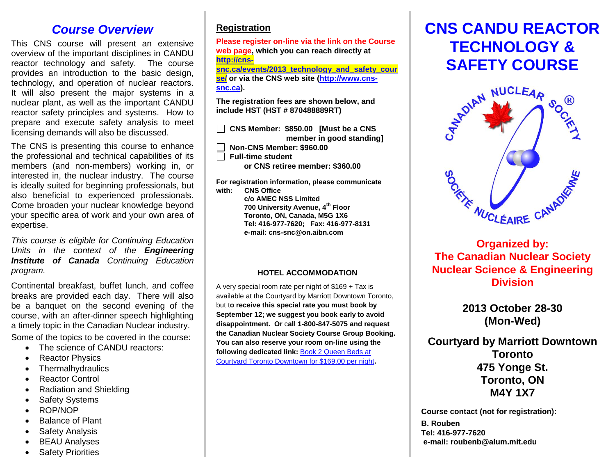### *Course Overview*

This CNS course will present an extensive overview of the important disciplines in CANDU reactor technology and safety. The course provides an introduction to the basic design, technology, and operation of nuclear reactors. It will also present the major systems in a nuclear plant, as well as the important CANDU reactor safety principles and systems. How to prepare and execute safety analysis to meet licensing demands will also be discussed.

The CNS is presenting this course to enhance the professional and technical capabilities of its members (and non-members) working in, or interested in, the nuclear industry. The course is ideally suited for beginning professionals, but also beneficial to experienced professionals. Come broaden your nuclear knowledge beyond your specific area of work and your own area of expertise.

*This course is eligible for Continuing Education Units in the context of the Engineering Institute of Canada Continuing Education program.*

Continental breakfast, buffet lunch, and coffee breaks are provided each day. There will also be a banquet on the second evening of the course, with an after-dinner speech highlighting a timely topic in the Canadian Nuclear industry.

Some of the topics to be covered in the course:

- The science of CANDU reactors:
- Reactor Physics
- Thermalhydraulics
- Reactor Control
- Radiation and Shielding
- Safety Systems
- ROP/NOP
- Balance of Plant
- Safety Analysis
- BEAU Analyses
- Safety Priorities

### **Registration**

**Please register on-line via the link on the Course web page, which you can reach directly at [http://cns-](http://cns-snc.ca/events/2013_technology_and_safety_course/)**

**[snc.ca/events/2013\\_technology\\_and\\_safety\\_cour](http://cns-snc.ca/events/2013_technology_and_safety_course/) [se/](http://cns-snc.ca/events/2013_technology_and_safety_course/) or via the CNS web site [\(http://www.cns](http://www.cns-snc.ca/)[snc.ca\)](http://www.cns-snc.ca/).** 

**The registration fees are shown below, and include HST (HST # 870488889RT)** 

 **CNS Member: \$850.00 [Must be a CNS member in good standing]**

 **Non-CNS Member: \$960.00**

 **Full-time student** 

 **or CNS retiree member: \$360.00**

**For registration information, please communicate with: CNS Office**

**c/o AMEC NSS Limited 700 University Avenue, 4th Floor Toronto, ON, Canada, M5G 1X6 Tel: 416-977-7620; Fax: 416-977-8131 e-mail: cns-snc@on.aibn.com**

### **HOTEL ACCOMMODATION**

A very special room rate per night of \$169 + Tax is available at the Courtyard by Marriott Downtown Toronto, but t**o receive this special rate you must book by September 12; we suggest you book early to avoid disappointment. Or** c**all 1-800-847-5075 and request the Canadian Nuclear Society Course Group Booking. You can also reserve your room on-line using the following dedicated link:** [Book 2 Queen Beds at](http://www.marriott.com/hotels/travel/yyzcy?groupCode=nnunnub&app=resvlink&fromDate=10/27/13&toDate=10/30/13&stop_mobi=yes)  [Courtyard Toronto Downtown for \\$169.00 per night](http://www.marriott.com/hotels/travel/yyzcy?groupCode=nnunnub&app=resvlink&fromDate=10/27/13&toDate=10/30/13&stop_mobi=yes)**.** 

# **CNS CANDU REACTOR TECHNOLOGY &**



## **The Canadian Nuclear Society Nuclear Science & Engineering Division**

**2013 October 28-30 (Mon-Wed)**

**Courtyard by Marriott Downtown Toronto 475 Yonge St. Toronto, ON M4Y 1X7**

**Course contact (not for registration):**

**B. Rouben Tel: 416-977-7620 e-mail: roubenb@alum.mit.edu**